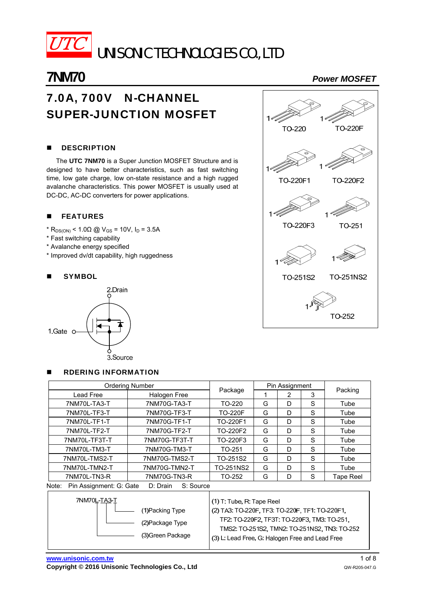

UNISONIC TECHNOLOGIES CO., LTD

# **7NM70** *Power MOSFET*

# 7.0A, 700V N-CHANNEL SUPER-JUNCTION MOSFET

# **DESCRIPTION**

The **UTC 7NM70** is a Super Junction MOSFET Structure and is designed to have better characteristics, such as fast switching time, low gate charge, low on-state resistance and a high rugged avalanche characteristics. This power MOSFET is usually used at DC-DC, AC-DC converters for power applications.

# **FEATURES**

- $*$  R<sub>DS(ON)</sub> < 1.0 $\Omega$  @ V<sub>GS</sub> = 10V, I<sub>D</sub> = 3.5A
- \* Fast switching capability
- \* Avalanche energy specified
- \* Improved dv/dt capability, high ruggedness

RDERING INFORMATION

### **SYMBOL**





| <b>Ordering Number</b>                                    |                                                                                                                                                                                                                                 |                | Pin Assignment |   |   |           |  |
|-----------------------------------------------------------|---------------------------------------------------------------------------------------------------------------------------------------------------------------------------------------------------------------------------------|----------------|----------------|---|---|-----------|--|
| Lead Free                                                 | Halogen Free                                                                                                                                                                                                                    | Package        |                | 2 | 3 | Packing   |  |
| 7NM70L-TA3-T                                              | 7NM70G-TA3-T                                                                                                                                                                                                                    | TO-220         | G              | D | S | Tube      |  |
| 7NM70L-TF3-T                                              | 7NM70G-TF3-T                                                                                                                                                                                                                    | <b>TO-220F</b> | G              | D | S | Tube      |  |
| 7NM70L-TF1-T<br>7NM70G-TF1-T                              |                                                                                                                                                                                                                                 | TO-220F1       | G              | D | S | Tube      |  |
| 7NM70L-TF2-T                                              | 7NM70G-TF2-T                                                                                                                                                                                                                    | TO-220F2       | G              | D | S | Tube      |  |
| 7NM70L-TF3T-T                                             | 7NM70G-TF3T-T                                                                                                                                                                                                                   | TO-220F3       | G              | D | S | Tube      |  |
| 7NM70L-TM3-T                                              | 7NM70G-TM3-T                                                                                                                                                                                                                    | TO-251         | G              | D | S | Tube      |  |
| 7NM70L-TMS2-T                                             | 7NM70G-TMS2-T                                                                                                                                                                                                                   | TO-251S2       | G              | D | S | Tube      |  |
| 7NM70L-TMN2-T                                             | 7NM70G-TMN2-T                                                                                                                                                                                                                   |                | G              | D | S | Tube      |  |
| 7NM70L-TN3-R<br>7NM70G-TN3-R                              |                                                                                                                                                                                                                                 | TO-252         | G              | D | S | Tape Reel |  |
| Note:<br>Pin Assignment: G: Gate<br>S: Source<br>D: Drain |                                                                                                                                                                                                                                 |                |                |   |   |           |  |
| 7NM70L-TA3-T                                              | $(1)$ T: Tube, R: Tape Reel<br>(2) TA3: TO-220F, TF3: TO-220F, TF1: TO-220F1,<br>TF2: TO-220F2, TF3T: TO-220F3, TM3: TO-251,<br>TMS2: TO-251S2, TMN2: TO-251NS2, TN3: TO-252<br>(3) L: Lead Free, G: Halogen Free and Lead Free |                |                |   |   |           |  |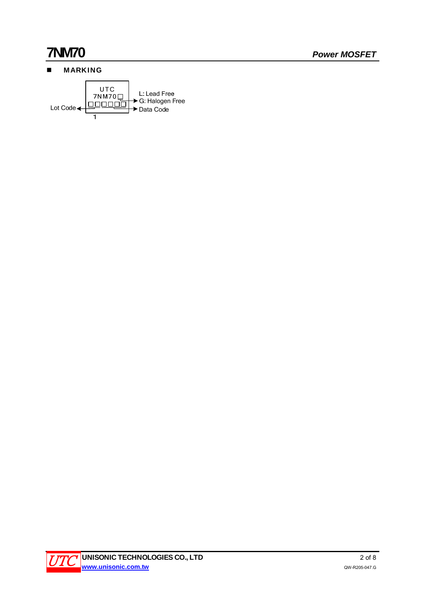# **MARKING**



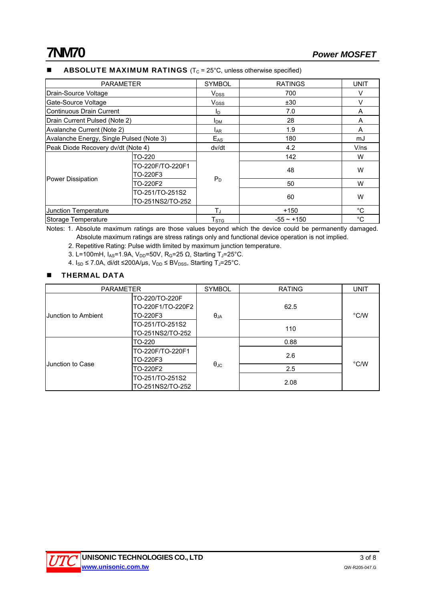# ABSOLUTE MAXIMUM RATINGS  $(T_C = 25^{\circ}C,$  unless otherwise specified)

| <b>PARAMETER</b>                         |                                     | <b>SYMBOL</b>          | <b>RATINGS</b>  | UNIT        |
|------------------------------------------|-------------------------------------|------------------------|-----------------|-------------|
| Drain-Source Voltage                     |                                     | $V_{DSS}$              | 700             | $\vee$      |
| Gate-Source Voltage                      |                                     | $V$ <sub>GSS</sub>     | ±30             | $\vee$      |
| Continuous Drain Current                 |                                     | $I_{\text{D}}$         | 7.0             | A           |
| Drain Current Pulsed (Note 2)            |                                     | <b>I</b> <sub>DM</sub> | 28              | A           |
| Avalanche Current (Note 2)               |                                     | <b>LAR</b>             | 1.9             | A           |
| Avalanche Energy, Single Pulsed (Note 3) |                                     | $E_{AS}$               | 180             | mJ          |
| Peak Diode Recovery dv/dt (Note 4)       |                                     | dv/dt                  | 4.2             | V/ns        |
| Power Dissipation                        | TO-220                              |                        | 142             | W           |
|                                          | TO-220F/TO-220F1<br>TO-220F3        |                        | 48              | W           |
|                                          | TO-220F2                            | $P_D$                  | 50              | W           |
|                                          | TO-251/TO-251S2<br>TO-251NS2/TO-252 |                        | 60              | W           |
| Junction Temperature                     |                                     | T.                     | $+150$          | $^{\circ}C$ |
| Storage Temperature                      |                                     | T <sub>STG</sub>       | $-55 \sim +150$ | °C          |

Notes: 1. Absolute maximum ratings are those values beyond which the device could be permanently damaged. Absolute maximum ratings are stress ratings only and functional device operation is not implied.

2. Repetitive Rating: Pulse width limited by maximum junction temperature.

3. L=100mH, I<sub>AS</sub>=1.9A, V<sub>DD</sub>=50V, R<sub>G</sub>=25 Ω, Starting T<sub>J</sub>=25°C.

4.  $I_{SD}$  ≤ 7.0A, di/dt ≤200A/µs,  $V_{DD}$  ≤ B $V_{DSS}$ , Starting T<sub>J</sub>=25°C.

### **THERMAL DATA**

| <b>PARAMETER</b>    |                                     | <b>SYMBOL</b>     | <b>RATING</b> | <b>UNIT</b>   |  |
|---------------------|-------------------------------------|-------------------|---------------|---------------|--|
| Junction to Ambient | TO-220/TO-220F<br>TO-220F1/TO-220F2 |                   | 62.5          | $\degree$ C/W |  |
|                     | TO-220F3                            | $\theta_{JA}$     |               |               |  |
|                     | TO-251/TO-251S2<br>TO-251NS2/TO-252 |                   | 110           |               |  |
| Junction to Case    | TO-220                              |                   | 0.88          |               |  |
|                     | TO-220F/TO-220F1<br>TO-220F3        |                   | 2.6           | $\degree$ C/W |  |
|                     | TO-220F2                            | $\theta_{\rm JC}$ | 2.5           |               |  |
|                     | TO-251/TO-251S2<br>TO-251NS2/TO-252 |                   | 2.08          |               |  |

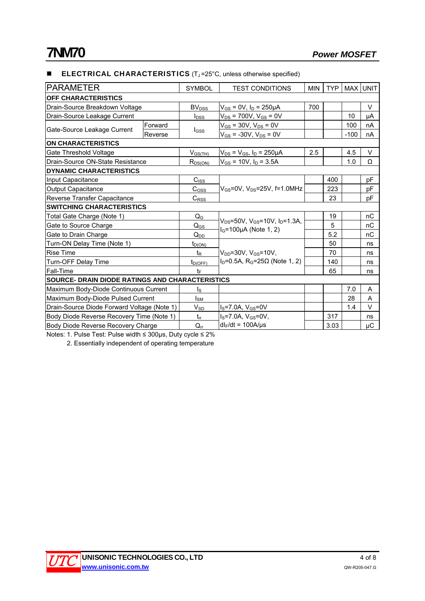### **ELECTRICAL CHARACTERISTICS**  $(T_J = 25^\circ C$ , unless otherwise specified)

| <b>PARAMETER</b>                                |         | <b>SYMBOL</b>           | <b>TEST CONDITIONS</b>                                     | <b>MIN</b> | <b>TYP</b> |        | MAX UNIT |
|-------------------------------------------------|---------|-------------------------|------------------------------------------------------------|------------|------------|--------|----------|
| OFF CHARACTERISTICS                             |         |                         |                                                            |            |            |        |          |
| Drain-Source Breakdown Voltage                  |         | <b>BV<sub>DSS</sub></b> | $V_{GS}$ = 0V, $I_D$ = 250µA                               | 700        |            |        | V        |
| Drain-Source Leakage Current                    |         | $I_{\text{DSS}}$        | $V_{DS}$ = 700V, $V_{GS}$ = 0V                             |            |            | 10     | μA       |
| Gate-Source Leakage Current                     | Forward |                         | $V_{GS}$ = 30V, $V_{DS}$ = 0V                              |            |            | 100    | nA       |
|                                                 | Reverse | $_{\text{GSS}}$         | $V_{GS}$ = -30V, $V_{DS}$ = 0V                             |            |            | $-100$ | nA       |
| <b>ON CHARACTERISTICS</b>                       |         |                         |                                                            |            |            |        |          |
| Gate Threshold Voltage                          |         | $V_{GS(TH)}$            | $V_{DS} = V_{GS}$ , $I_D = 250 \mu A$                      | 2.5        |            | 4.5    | $\vee$   |
| Drain-Source ON-State Resistance                |         | $R_{DS(ON)}$            | $V_{GS}$ = 10V, $I_D$ = 3.5A                               |            |            | 1.0    | Ω        |
| <b>DYNAMIC CHARACTERISTICS</b>                  |         |                         |                                                            |            |            |        |          |
| Input Capacitance                               |         | $C_{ISS}$               |                                                            |            | 400        |        | pF       |
| <b>Output Capacitance</b>                       |         | C <sub>oss</sub>        | $V_{GS}$ =0V, $V_{DS}$ =25V, f=1.0MHz                      |            | 223        |        | pF       |
| Reverse Transfer Capacitance                    |         | $C_{\text{RSS}}$        |                                                            |            | 23         |        | pF       |
| <b>SWITCHING CHARACTERISTICS</b>                |         |                         |                                                            |            |            |        |          |
| Total Gate Charge (Note 1)                      |         | $Q_{G}$                 | $V_{DS}$ =50V, V <sub>GS</sub> =10V, I <sub>D</sub> =1.3A, |            | 19         |        | nC       |
| Gate to Source Charge                           |         | $Q_{GS}$                | $I_G = 100 \mu A$ (Note 1, 2)                              |            | 5          |        | пC       |
| Gate to Drain Charge                            |         | $Q_{DD}$                |                                                            |            | 5.2        |        | nC       |
| Turn-ON Delay Time (Note 1)                     |         | $t_{D(ON)}$             |                                                            |            | 50         |        | ns       |
| <b>Rise Time</b>                                |         | $t_{\mathsf{R}}$        | $V_{DD} = 30V$ , $V_{GS} = 10V$ ,                          |            | 70         |        | ns       |
| Turn-OFF Delay Time                             |         | $t_{D(OFF)}$            | $ID=0.5A$ , R <sub>G</sub> =25Ω (Note 1, 2)                |            | 140        |        | ns       |
| Fall-Time                                       |         | $t_{\rm F}$             |                                                            |            | 65         |        | ns       |
| SOURCE- DRAIN DIODE RATINGS AND CHARACTERISTICS |         |                         |                                                            |            |            |        |          |
| Maximum Body-Diode Continuous Current           |         | $\mathsf{I}_\mathsf{S}$ |                                                            |            |            | 7.0    | Α        |
| Maximum Body-Diode Pulsed Current               |         | I <sub>SM</sub>         |                                                            |            |            | 28     | Α        |
| Drain-Source Diode Forward Voltage (Note 1)     |         | $V_{SD}$                | $I_S$ =7.0A, $V_{GS}$ =0V                                  |            |            | 1.4    | $\vee$   |
| Body Diode Reverse Recovery Time (Note 1)       |         | $t_{rr}$                | $I_S = 7.0A, V_{GS} = 0V,$                                 |            | 317        |        | ns       |
| Body Diode Reverse Recovery Charge              |         | $Q_{rr}$                | $dl_F/dt = 100A/\mu s$                                     |            | 3.03       |        | μC       |

Notes: 1. Pulse Test: Pulse width ≤ 300μs, Duty cycle ≤ 2%

2. Essentially independent of operating temperature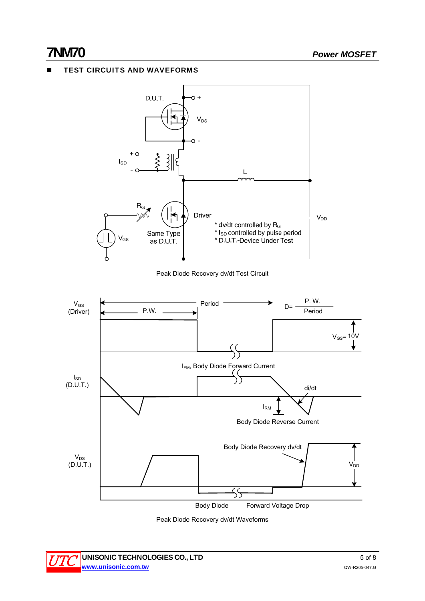# TEST CIRCUITS AND WAVEFORMS



Peak Diode Recovery dv/dt Waveforms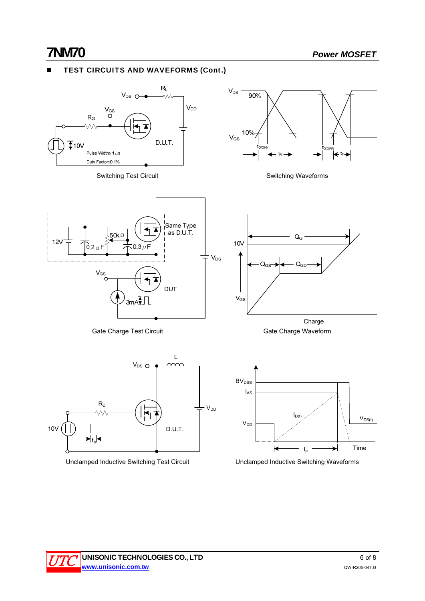# TEST CIRCUITS AND WAVEFORMS (Cont.)



Unclamped Inductive Switching Test Circuit Unclamped Inductive Switching Waveforms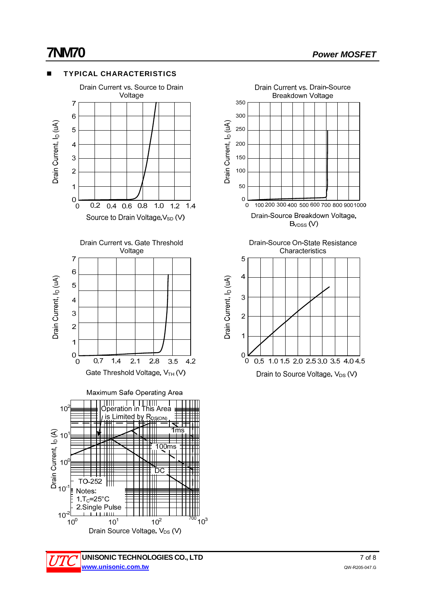

## UNISONIC TECHNOLOGIES CO., LTD 7 of 8 **www.unisonic.com.tw** QW-R205-047.G